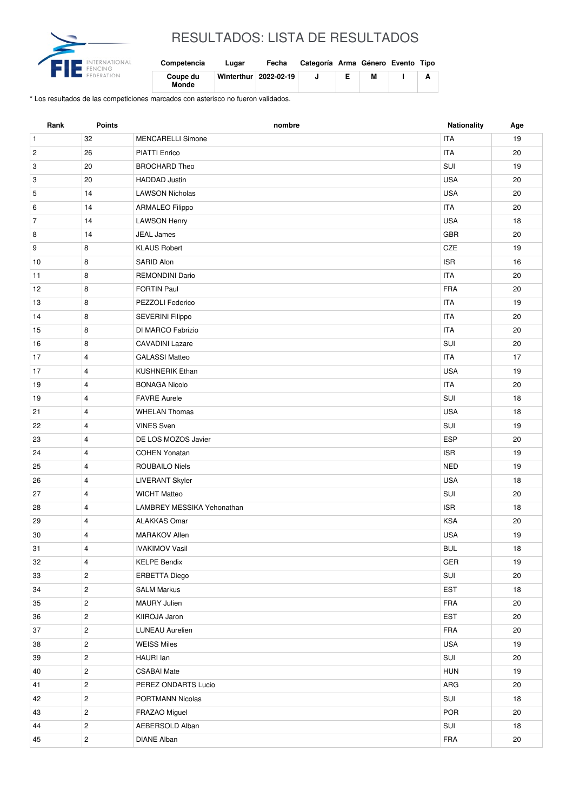

## RESULTADOS: LISTA DE RESULTADOS

| Competencia              | Lugar | Fecha                   | Categoría Arma Género Evento Tipo |   |   |
|--------------------------|-------|-------------------------|-----------------------------------|---|---|
| Coupe du<br><b>Monde</b> |       | Winterthur   2022-02-19 |                                   | М | А |

\* Los resultados de las competiciones marcados con asterisco no fueron validados.

| Rank           | Points                  | nombre                            | <b>Nationality</b> | Age |
|----------------|-------------------------|-----------------------------------|--------------------|-----|
| $\mathbf{1}$   | 32                      | <b>MENCARELLI Simone</b>          | <b>ITA</b>         | 19  |
| $\overline{c}$ | 26                      | <b>PIATTI Enrico</b>              | <b>ITA</b>         | 20  |
| 3              | 20                      | <b>BROCHARD Theo</b>              | SUI                | 19  |
| 3              | 20                      | <b>HADDAD</b> Justin              | <b>USA</b>         | 20  |
| 5              | 14                      | <b>LAWSON Nicholas</b>            | <b>USA</b>         | 20  |
| 6              | 14                      | <b>ARMALEO Filippo</b>            | <b>ITA</b>         | 20  |
| $\overline{7}$ | 14                      | <b>LAWSON Henry</b>               | <b>USA</b>         | 18  |
| 8              | 14                      | <b>JEAL James</b>                 | <b>GBR</b>         | 20  |
| 9              | 8                       | <b>KLAUS Robert</b>               | CZE                | 19  |
| 10             | 8                       | SARID Alon                        | <b>ISR</b>         | 16  |
| 11             | 8                       | <b>REMONDINI Dario</b>            | <b>ITA</b>         | 20  |
| 12             | 8                       | <b>FORTIN Paul</b>                | <b>FRA</b>         | 20  |
| 13             | 8                       | PEZZOLI Federico                  | <b>ITA</b>         | 19  |
| 14             | 8                       | <b>SEVERINI Filippo</b>           | <b>ITA</b>         | 20  |
| 15             | 8                       | DI MARCO Fabrizio                 | <b>ITA</b>         | 20  |
| 16             | 8                       | <b>CAVADINI Lazare</b>            | SUI                | 20  |
| 17             | $\overline{4}$          | <b>GALASSI Matteo</b>             | <b>ITA</b>         | 17  |
| 17             | 4                       | <b>KUSHNERIK Ethan</b>            | <b>USA</b>         | 19  |
| 19             | $\overline{4}$          | <b>BONAGA Nicolo</b>              | <b>ITA</b>         | 20  |
| 19             | $\overline{4}$          | <b>FAVRE Aurele</b>               | SUI                | 18  |
| 21             | $\overline{4}$          | <b>WHELAN Thomas</b>              | <b>USA</b>         | 18  |
| 22             | $\overline{4}$          | <b>VINES Sven</b>                 | SUI                | 19  |
| 23             | $\overline{4}$          | DE LOS MOZOS Javier               | <b>ESP</b>         | 20  |
| 24             | $\overline{4}$          | <b>COHEN Yonatan</b>              | <b>ISR</b>         | 19  |
| 25             | $\overline{4}$          | ROUBAILO Niels                    | <b>NED</b>         | 19  |
| 26             | $\overline{4}$          | <b>LIVERANT Skyler</b>            | <b>USA</b>         | 18  |
| 27             | 4                       | <b>WICHT Matteo</b>               | SUI                | 20  |
| 28             | $\overline{4}$          | <b>LAMBREY MESSIKA Yehonathan</b> | <b>ISR</b>         | 18  |
| 29             | 4                       | <b>ALAKKAS Omar</b>               | <b>KSA</b>         | 20  |
| 30             | 4                       | <b>MARAKOV Allen</b>              | <b>USA</b>         | 19  |
| 31             | 4                       | <b>IVAKIMOV Vasil</b>             | <b>BUL</b>         | 18  |
| 32             | 4                       | <b>KELPE Bendix</b>               | GER                | 19  |
| 33             | $\overline{2}$          | ERBETTA Diego                     | SUI                | 20  |
| 34             | $\overline{2}$          | <b>SALM Markus</b>                | <b>EST</b>         | 18  |
| 35             | $\overline{2}$          | MAURY Julien                      | FRA                | 20  |
| 36             | $\mathbf{2}$            | KIIROJA Jaron                     | <b>EST</b>         | 20  |
| 37             | $\mathbf{2}$            | <b>LUNEAU Aurelien</b>            | FRA                | 20  |
| 38             | $\overline{2}$          | <b>WEISS Miles</b>                | USA                | 19  |
| 39             | $\overline{\mathbf{c}}$ | HAURI lan                         | SUI                | 20  |
| 40             | $\overline{2}$          | <b>CSABAI Mate</b>                | <b>HUN</b>         | 19  |
| 41             | $\overline{2}$          | PEREZ ONDARTS Lucio               | ARG                | 20  |
| 42             | $\overline{c}$          | PORTMANN Nicolas                  | SUI                | 18  |
| 43             | $\overline{2}$          | FRAZAO Miguel                     | <b>POR</b>         | 20  |
| 44             | $\overline{c}$          | AEBERSOLD Alban                   | SUI                | 18  |
| 45             | $\overline{c}$          | <b>DIANE Alban</b>                | <b>FRA</b>         | 20  |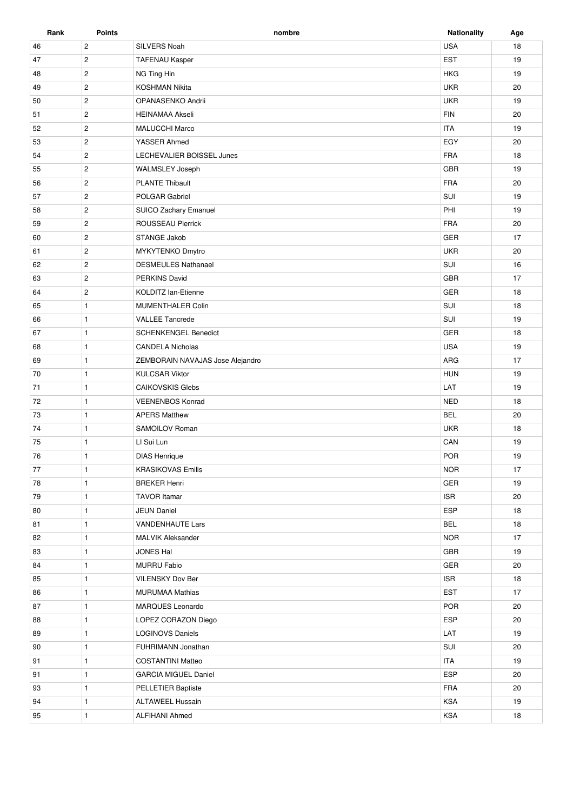| Rank | <b>Points</b>  | nombre                           | <b>Nationality</b> | Age |
|------|----------------|----------------------------------|--------------------|-----|
| 46   | $\overline{c}$ | SILVERS Noah                     | <b>USA</b>         | 18  |
| 47   | $\overline{2}$ | <b>TAFENAU Kasper</b>            | <b>EST</b>         | 19  |
| 48   | $\mathbf{2}$   | NG Ting Hin                      | <b>HKG</b>         | 19  |
| 49   | $\overline{c}$ | <b>KOSHMAN Nikita</b>            | <b>UKR</b>         | 20  |
| 50   | $\mathbf{2}$   | OPANASENKO Andrii                | <b>UKR</b>         | 19  |
| 51   | $\overline{2}$ | <b>HEINAMAA Akseli</b>           | <b>FIN</b>         | 20  |
| 52   | $\overline{c}$ | <b>MALUCCHI Marco</b>            | <b>ITA</b>         | 19  |
| 53   | $\overline{2}$ | YASSER Ahmed                     | EGY                | 20  |
| 54   | $\overline{2}$ | LECHEVALIER BOISSEL Junes        | <b>FRA</b>         | 18  |
| 55   | $\overline{2}$ | <b>WALMSLEY Joseph</b>           | GBR                | 19  |
| 56   | $\overline{c}$ | <b>PLANTE Thibault</b>           | FRA                | 20  |
| 57   | $\overline{2}$ | POLGAR Gabriel                   | SUI                | 19  |
| 58   | $\overline{2}$ | SUICO Zachary Emanuel            | PHI                | 19  |
| 59   | $\overline{2}$ | ROUSSEAU Pierrick                | <b>FRA</b>         | 20  |
| 60   | $\mathbf{2}$   | <b>STANGE Jakob</b>              | <b>GER</b>         | 17  |
| 61   | $\mathbf{2}$   | MYKYTENKO Dmytro                 | <b>UKR</b>         | 20  |
| 62   | $\overline{c}$ | <b>DESMEULES Nathanael</b>       | SUI                | 16  |
| 63   | $\sqrt{2}$     | <b>PERKINS David</b>             | <b>GBR</b>         | 17  |
| 64   | $\overline{2}$ | <b>KOLDITZ lan-Etienne</b>       | GER                | 18  |
| 65   | $\mathbf{1}$   | MUMENTHALER Colin                | SUI                | 18  |
| 66   | $\mathbf{1}$   | <b>VALLEE Tancrede</b>           | SUI                | 19  |
| 67   | $\mathbf{1}$   | <b>SCHENKENGEL Benedict</b>      | GER                | 18  |
| 68   | $\mathbf{1}$   | <b>CANDELA Nicholas</b>          | <b>USA</b>         | 19  |
| 69   | $\mathbf{1}$   | ZEMBORAIN NAVAJAS Jose Alejandro | ARG                | 17  |
| 70   | $\mathbf{1}$   | <b>KULCSAR Viktor</b>            | <b>HUN</b>         | 19  |
| 71   | $\mathbf{1}$   | <b>CAIKOVSKIS Glebs</b>          | LAT                | 19  |
| 72   | $\mathbf{1}$   | <b>VEENENBOS Konrad</b>          | <b>NED</b>         | 18  |
| 73   | $\mathbf{1}$   | <b>APERS Matthew</b>             | <b>BEL</b>         | 20  |
| 74   | $\mathbf{1}$   | SAMOILOV Roman                   | <b>UKR</b>         | 18  |
| 75   | $\mathbf{1}$   | LI Sui Lun                       | CAN                | 19  |
| 76   | $\mathbf{1}$   | <b>DIAS Henrique</b>             | <b>POR</b>         | 19  |
| 77   | $\mathbf{1}$   | <b>KRASIKOVAS Emilis</b>         | <b>NOR</b>         | 17  |
| 78   | $\mathbf{1}$   | <b>BREKER Henri</b>              | GER                | 19  |
| 79   | $\mathbf{1}$   | <b>TAVOR Itamar</b>              | <b>ISR</b>         | 20  |
| 80   | $\mathbf{1}$   | <b>JEUN Daniel</b>               | ESP                | 18  |
| 81   | $\mathbf{1}$   | <b>VANDENHAUTE Lars</b>          | <b>BEL</b>         | 18  |
| 82   | $\mathbf{1}$   | <b>MALVIK Aleksander</b>         | <b>NOR</b>         | 17  |
| 83   | $\mathbf{1}$   | JONES Hal                        | GBR                | 19  |
| 84   | $\mathbf{1}$   | <b>MURRU Fabio</b>               | GER                | 20  |
| 85   | $\mathbf{1}$   | VILENSKY Dov Ber                 | <b>ISR</b>         | 18  |
| 86   | $\mathbf{1}$   | <b>MURUMAA Mathias</b>           | <b>EST</b>         | 17  |
| 87   | $\mathbf{1}$   | MARQUES Leonardo                 | POR                | 20  |
| 88   | $\mathbf{1}$   | LOPEZ CORAZON Diego              | <b>ESP</b>         | 20  |
| 89   | $\mathbf{1}$   | <b>LOGINOVS Daniels</b>          | LAT                | 19  |
| 90   | $\mathbf{1}$   | FUHRIMANN Jonathan               | SUI                | 20  |
| 91   | $\mathbf{1}$   | <b>COSTANTINI Matteo</b>         | <b>ITA</b>         | 19  |
| 91   | $\mathbf{1}$   | <b>GARCIA MIGUEL Daniel</b>      | ESP                | 20  |
| 93   | $\mathbf{1}$   | PELLETIER Baptiste               | FRA                | 20  |
| 94   | $\mathbf{1}$   | <b>ALTAWEEL Hussain</b>          | KSA                | 19  |
| 95   | $\mathbf{1}$   | <b>ALFIHANI Ahmed</b>            | KSA                | 18  |
|      |                |                                  |                    |     |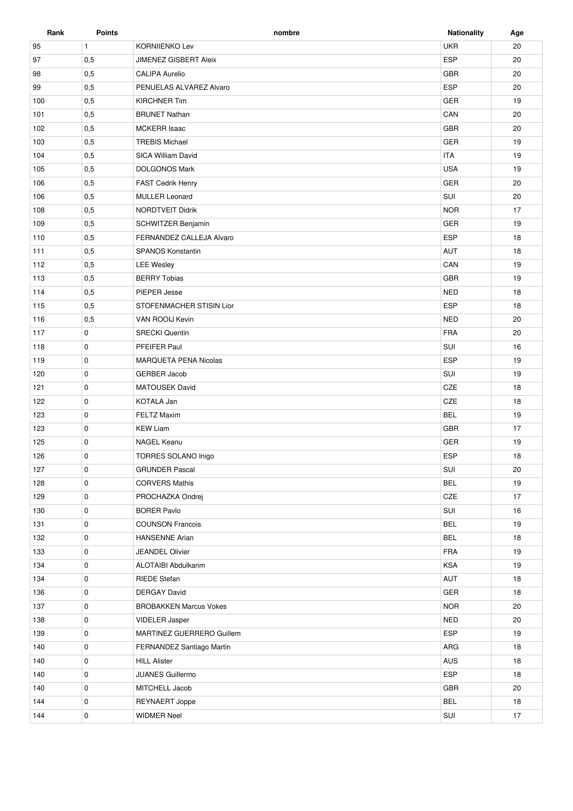| Rank | <b>Points</b> | nombre                        | <b>Nationality</b> | Age |
|------|---------------|-------------------------------|--------------------|-----|
| 95   | $\mathbf{1}$  | <b>KORNIIENKO Lev</b>         | <b>UKR</b>         | 20  |
| 97   | 0,5           | <b>JIMENEZ GISBERT Aleix</b>  | <b>ESP</b>         | 20  |
| 98   | 0,5           | <b>CALIPA Aurelio</b>         | GBR                | 20  |
| 99   | 0,5           | PENUELAS ALVAREZ Alvaro       | <b>ESP</b>         | 20  |
| 100  | 0,5           | <b>KIRCHNER Tim</b>           | GER                | 19  |
| 101  | 0,5           | <b>BRUNET Nathan</b>          | CAN                | 20  |
| 102  | 0,5           | <b>MCKERR Isaac</b>           | GBR                | 20  |
| 103  | 0,5           | <b>TREBIS Michael</b>         | GER                | 19  |
| 104  | 0,5           | SICA William David            | <b>ITA</b>         | 19  |
| 105  | 0,5           | <b>DOLGONOS Mark</b>          | <b>USA</b>         | 19  |
| 106  | 0,5           | FAST Cedrik Henry             | GER                | 20  |
| 106  | 0,5           | <b>MULLER Leonard</b>         | SUI                | 20  |
| 108  | 0,5           | NORDTVEIT Didrik              | <b>NOR</b>         | 17  |
| 109  | 0,5           | <b>SCHWITZER Benjamin</b>     | <b>GER</b>         | 19  |
| 110  | 0,5           | FERNANDEZ CALLEJA Alvaro      | <b>ESP</b>         | 18  |
| 111  | 0,5           | <b>SPANOS Konstantin</b>      | AUT                | 18  |
| 112  | 0,5           | <b>LEE Wesley</b>             | CAN                | 19  |
| 113  | 0,5           | <b>BERRY Tobias</b>           | <b>GBR</b>         | 19  |
| 114  | 0,5           | PIEPER Jesse                  | <b>NED</b>         | 18  |
| 115  | 0,5           | STOFENMACHER STISIN Lior      | <b>ESP</b>         | 18  |
| 116  | 0,5           | VAN ROOIJ Kevin               | <b>NED</b>         | 20  |
| 117  | 0             | <b>SRECKI</b> Quentin         | <b>FRA</b>         | 20  |
| 118  | 0             | PFEIFER Paul                  | SUI                | 16  |
| 119  | 0             | <b>MARQUETA PENA Nicolas</b>  | <b>ESP</b>         | 19  |
| 120  | 0             | <b>GERBER Jacob</b>           | SUI                | 19  |
| 121  | 0             | <b>MATOUSEK David</b>         | CZE                | 18  |
| 122  | 0             | KOTALA Jan                    | CZE                | 18  |
| 123  | 0             | <b>FELTZ Maxim</b>            | <b>BEL</b>         | 19  |
| 123  | 0             | <b>KEW Liam</b>               | <b>GBR</b>         | 17  |
| 125  | 0             | NAGEL Keanu                   | <b>GER</b>         | 19  |
| 126  | $\mathbf 0$   | TORRES SOLANO Inigo           | <b>ESP</b>         | 18  |
| 127  | 0             | <b>GRUNDER Pascal</b>         | SUI                | 20  |
| 128  | 0             | <b>CORVERS Mathis</b>         | <b>BEL</b>         | 19  |
| 129  | 0             | PROCHAZKA Ondrej              | CZE                | 17  |
| 130  | $\mathbf 0$   | <b>BORER Pavlo</b>            | SUI                | 16  |
| 131  | 0             | <b>COUNSON Francois</b>       | <b>BEL</b>         | 19  |
| 132  | 0             | <b>HANSENNE Arian</b>         | <b>BEL</b>         | 18  |
| 133  | 0             | JEANDEL Olivier               | FRA                | 19  |
| 134  | 0             | <b>ALOTAIBI Abdulkarim</b>    | KSA                | 19  |
| 134  | 0             | <b>RIEDE Stefan</b>           | AUT                | 18  |
| 136  | 0             | <b>DERGAY David</b>           | GER                | 18  |
| 137  | 0             | <b>BROBAKKEN Marcus Vokes</b> | <b>NOR</b>         | 20  |
| 138  | 0             | <b>VIDELER Jasper</b>         | <b>NED</b>         | 20  |
| 139  | 0             | MARTINEZ GUERRERO Guillem     | ESP                | 19  |
| 140  | 0             | FERNANDEZ Santiago Martin     | ARG                | 18  |
| 140  | $\mathbf 0$   | <b>HILL Alister</b>           | AUS                | 18  |
| 140  | 0             | JUANES Guillermo              | ESP                | 18  |
| 140  | 0             | MITCHELL Jacob                | GBR                | 20  |
|      |               |                               |                    |     |
| 144  | 0             | <b>REYNAERT Joppe</b>         | <b>BEL</b>         | 18  |
| 144  | 0             | <b>WIDMER Neel</b>            | SUI                | 17  |